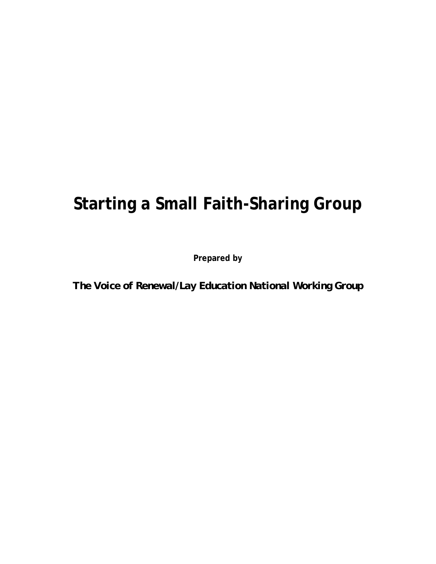# **Starting a Small Faith-Sharing Group**

**Prepared by** 

*The Voice of Renewal/Lay Education National Working Group*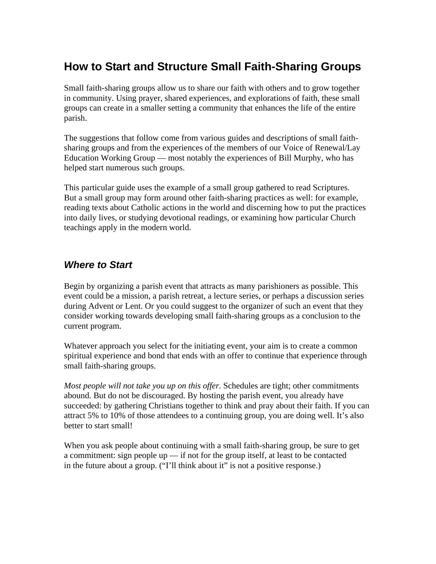## **How to Start and Structure Small Faith-Sharing Groups**

Small faith-sharing groups allow us to share our faith with others and to grow together in community. Using prayer, shared experiences, and explorations of faith, these small groups can create in a smaller setting a community that enhances the life of the entire parish.

The suggestions that follow come from various guides and descriptions of small faithsharing groups and from the experiences of the members of our Voice of Renewal/Lay Education Working Group — most notably the experiences of Bill Murphy, who has helped start numerous such groups.

This particular guide uses the example of a small group gathered to read Scriptures. But a small group may form around other faith-sharing practices as well: for example, reading texts about Catholic actions in the world and discerning how to put the practices into daily lives, or studying devotional readings, or examining how particular Church teachings apply in the modern world.

## *Where to Start*

Begin by organizing a parish event that attracts as many parishioners as possible. This event could be a mission, a parish retreat, a lecture series, or perhaps a discussion series during Advent or Lent. Or you could suggest to the organizer of such an event that they consider working towards developing small faith-sharing groups as a conclusion to the current program.

Whatever approach you select for the initiating event, your aim is to create a common spiritual experience and bond that ends with an offer to continue that experience through small faith-sharing groups.

*Most people will not take you up on this offer.* Schedules are tight; other commitments abound. But do not be discouraged. By hosting the parish event, you already have succeeded: by gathering Christians together to think and pray about their faith. If you can attract 5% to 10% of those attendees to a continuing group, you are doing well. It's also better to start small!

When you ask people about continuing with a small faith-sharing group, be sure to get a commitment: sign people up — if not for the group itself, at least to be contacted in the future about a group. ("I'll think about it" is not a positive response.)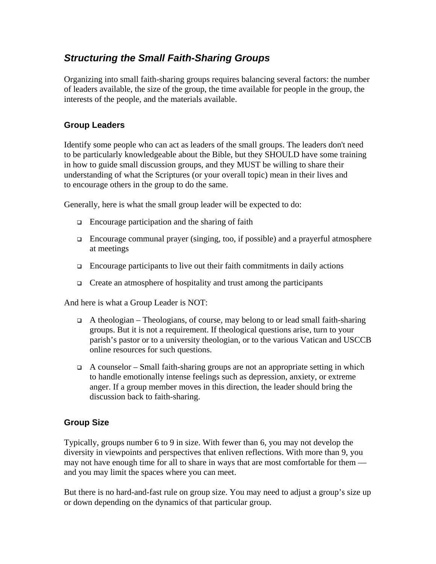## *Structuring the Small Faith-Sharing Groups*

Organizing into small faith-sharing groups requires balancing several factors: the number of leaders available, the size of the group, the time available for people in the group, the interests of the people, and the materials available.

#### **Group Leaders**

Identify some people who can act as leaders of the small groups. The leaders don't need to be particularly knowledgeable about the Bible, but they SHOULD have some training in how to guide small discussion groups, and they MUST be willing to share their understanding of what the Scriptures (or your overall topic) mean in their lives and to encourage others in the group to do the same.

Generally, here is what the small group leader will be expected to do:

- $\Box$  Encourage participation and the sharing of faith
- $\Box$  Encourage communal prayer (singing, too, if possible) and a prayerful atmosphere at meetings
- $\Box$  Encourage participants to live out their faith commitments in daily actions
- $\Box$  Create an atmosphere of hospitality and trust among the participants

And here is what a Group Leader is NOT:

- $\Box$  A theologian Theologians, of course, may belong to or lead small faith-sharing groups. But it is not a requirement. If theological questions arise, turn to your parish's pastor or to a university theologian, or to the various Vatican and USCCB online resources for such questions.
- A counselor Small faith-sharing groups are not an appropriate setting in which to handle emotionally intense feelings such as depression, anxiety, or extreme anger. If a group member moves in this direction, the leader should bring the discussion back to faith-sharing.

#### **Group Size**

Typically, groups number 6 to 9 in size. With fewer than 6, you may not develop the diversity in viewpoints and perspectives that enliven reflections. With more than 9, you may not have enough time for all to share in ways that are most comfortable for them and you may limit the spaces where you can meet.

But there is no hard-and-fast rule on group size. You may need to adjust a group's size up or down depending on the dynamics of that particular group.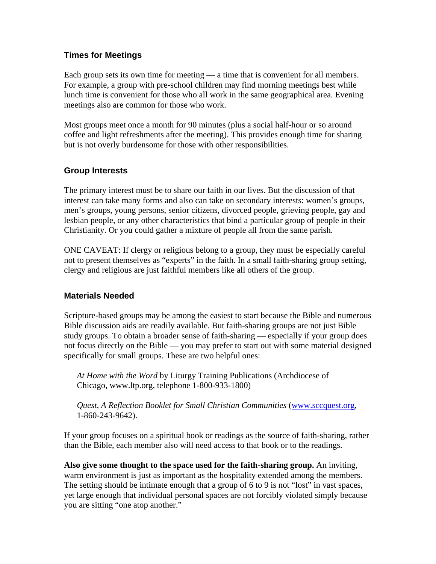#### **Times for Meetings**

Each group sets its own time for meeting — a time that is convenient for all members. For example, a group with pre-school children may find morning meetings best while lunch time is convenient for those who all work in the same geographical area. Evening meetings also are common for those who work.

Most groups meet once a month for 90 minutes (plus a social half-hour or so around coffee and light refreshments after the meeting). This provides enough time for sharing but is not overly burdensome for those with other responsibilities.

#### **Group Interests**

The primary interest must be to share our faith in our lives. But the discussion of that interest can take many forms and also can take on secondary interests: women's groups, men's groups, young persons, senior citizens, divorced people, grieving people, gay and lesbian people, or any other characteristics that bind a particular group of people in their Christianity. Or you could gather a mixture of people all from the same parish.

ONE CAVEAT: If clergy or religious belong to a group, they must be especially careful not to present themselves as "experts" in the faith. In a small faith-sharing group setting, clergy and religious are just faithful members like all others of the group.

#### **Materials Needed**

Scripture-based groups may be among the easiest to start because the Bible and numerous Bible discussion aids are readily available. But faith-sharing groups are not just Bible study groups. To obtain a broader sense of faith-sharing — especially if your group does not focus directly on the Bible — you may prefer to start out with some material designed specifically for small groups. These are two helpful ones:

*At Home with the Word* by Liturgy Training Publications (Archdiocese of Chicago, www.ltp.org, telephone 1-800-933-1800)

*Quest, A Reflection Booklet for Small Christian Communities* (www.sccquest.org, 1-860-243-9642).

If your group focuses on a spiritual book or readings as the source of faith-sharing, rather than the Bible, each member also will need access to that book or to the readings.

**Also give some thought to the space used for the faith-sharing group.** An inviting, warm environment is just as important as the hospitality extended among the members. The setting should be intimate enough that a group of 6 to 9 is not "lost" in vast spaces, yet large enough that individual personal spaces are not forcibly violated simply because you are sitting "one atop another."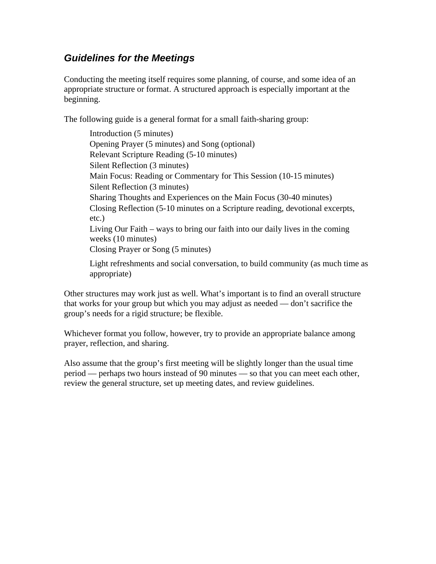## *Guidelines for the Meetings*

Conducting the meeting itself requires some planning, of course, and some idea of an appropriate structure or format. A structured approach is especially important at the beginning.

The following guide is a general format for a small faith-sharing group:

Introduction (5 minutes) Opening Prayer (5 minutes) and Song (optional) Relevant Scripture Reading (5-10 minutes) Silent Reflection (3 minutes) Main Focus: Reading or Commentary for This Session (10-15 minutes) Silent Reflection (3 minutes) Sharing Thoughts and Experiences on the Main Focus (30-40 minutes) Closing Reflection (5-10 minutes on a Scripture reading, devotional excerpts, etc.) Living Our Faith – ways to bring our faith into our daily lives in the coming weeks (10 minutes) Closing Prayer or Song (5 minutes)

Light refreshments and social conversation, to build community (as much time as appropriate)

Other structures may work just as well. What's important is to find an overall structure that works for your group but which you may adjust as needed — don't sacrifice the group's needs for a rigid structure; be flexible.

Whichever format you follow, however, try to provide an appropriate balance among prayer, reflection, and sharing.

Also assume that the group's first meeting will be slightly longer than the usual time period — perhaps two hours instead of 90 minutes — so that you can meet each other, review the general structure, set up meeting dates, and review guidelines.